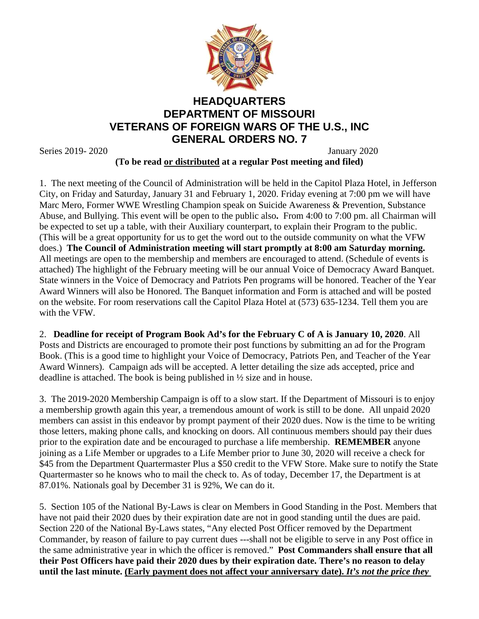

## **HEADQUARTERS DEPARTMENT OF MISSOURI VETERANS OF FOREIGN WARS OF THE U.S., INC GENERAL ORDERS NO. 7**

Series 2019- 2020 January 2020

**(To be read or distributed at a regular Post meeting and filed)**

1. The next meeting of the Council of Administration will be held in the Capitol Plaza Hotel, in Jefferson City, on Friday and Saturday, January 31 and February 1, 2020. Friday evening at 7:00 pm we will have Marc Mero, Former WWE Wrestling Champion speak on Suicide Awareness & Prevention, Substance Abuse, and Bullying. This event will be open to the public also**.** From 4:00 to 7:00 pm. all Chairman will be expected to set up a table, with their Auxiliary counterpart, to explain their Program to the public. (This will be a great opportunity for us to get the word out to the outside community on what the VFW does.) **The Council of Administration meeting will start promptly at 8:00 am Saturday morning.** All meetings are open to the membership and members are encouraged to attend. (Schedule of events is attached) The highlight of the February meeting will be our annual Voice of Democracy Award Banquet. State winners in the Voice of Democracy and Patriots Pen programs will be honored. Teacher of the Year Award Winners will also be Honored. The Banquet information and Form is attached and will be posted on the website. For room reservations call the Capitol Plaza Hotel at (573) 635-1234. Tell them you are with the VFW.

2. **Deadline for receipt of Program Book Ad's for the February C of A is January 10, 2020**. All Posts and Districts are encouraged to promote their post functions by submitting an ad for the Program Book. (This is a good time to highlight your Voice of Democracy, Patriots Pen, and Teacher of the Year Award Winners). Campaign ads will be accepted. A letter detailing the size ads accepted, price and deadline is attached. The book is being published in ½ size and in house.

3. The 2019-2020 Membership Campaign is off to a slow start. If the Department of Missouri is to enjoy a membership growth again this year, a tremendous amount of work is still to be done. All unpaid 2020 members can assist in this endeavor by prompt payment of their 2020 dues. Now is the time to be writing those letters, making phone calls, and knocking on doors. All continuous members should pay their dues prior to the expiration date and be encouraged to purchase a life membership. **REMEMBER** anyone joining as a Life Member or upgrades to a Life Member prior to June 30, 2020 will receive a check for \$45 from the Department Quartermaster Plus a \$50 credit to the VFW Store. Make sure to notify the State Quartermaster so he knows who to mail the check to. As of today, December 17, the Department is at 87.01%. Nationals goal by December 31 is 92%, We can do it.

5. Section 105 of the National By-Laws is clear on Members in Good Standing in the Post. Members that have not paid their 2020 dues by their expiration date are not in good standing until the dues are paid. Section 220 of the National By-Laws states, "Any elected Post Officer removed by the Department Commander, by reason of failure to pay current dues ---shall not be eligible to serve in any Post office in the same administrative year in which the officer is removed." **Post Commanders shall ensure that all their Post Officers have paid their 2020 dues by their expiration date. There's no reason to delay until the last minute. (Early payment does not affect your anniversary date).** *It's not the price they*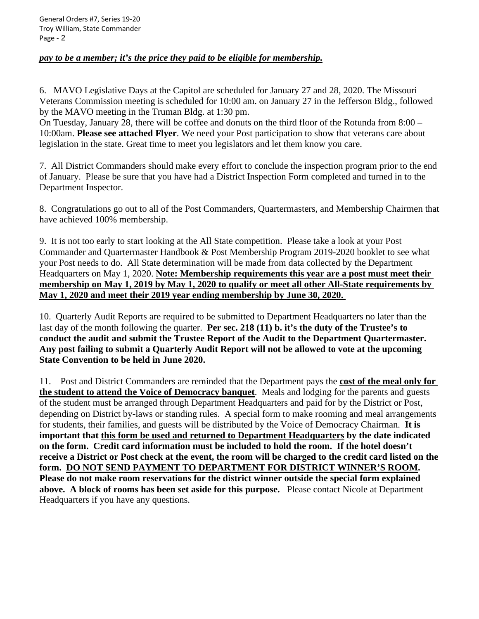## *pay to be a member; it's the price they paid to be eligible for membership.*

6. MAVO Legislative Days at the Capitol are scheduled for January 27 and 28, 2020. The Missouri Veterans Commission meeting is scheduled for 10:00 am. on January 27 in the Jefferson Bldg., followed by the MAVO meeting in the Truman Bldg. at 1:30 pm.

On Tuesday, January 28, there will be coffee and donuts on the third floor of the Rotunda from 8:00 – 10:00am. **Please see attached Flyer**. We need your Post participation to show that veterans care about legislation in the state. Great time to meet you legislators and let them know you care.

7. All District Commanders should make every effort to conclude the inspection program prior to the end of January. Please be sure that you have had a District Inspection Form completed and turned in to the Department Inspector.

8. Congratulations go out to all of the Post Commanders, Quartermasters, and Membership Chairmen that have achieved 100% membership.

9. It is not too early to start looking at the All State competition. Please take a look at your Post Commander and Quartermaster Handbook & Post Membership Program 2019-2020 booklet to see what your Post needs to do. All State determination will be made from data collected by the Department Headquarters on May 1, 2020. **Note: Membership requirements this year are a post must meet their membership on May 1, 2019 by May 1, 2020 to qualify or meet all other All-State requirements by May 1, 2020 and meet their 2019 year ending membership by June 30, 2020.**

10. Quarterly Audit Reports are required to be submitted to Department Headquarters no later than the last day of the month following the quarter. **Per sec. 218 (11) b. it's the duty of the Trustee's to conduct the audit and submit the Trustee Report of the Audit to the Department Quartermaster. Any post failing to submit a Quarterly Audit Report will not be allowed to vote at the upcoming State Convention to be held in June 2020.**

11. Post and District Commanders are reminded that the Department pays the **cost of the meal only for the student to attend the Voice of Democracy banquet**. Meals and lodging for the parents and guests of the student must be arranged through Department Headquarters and paid for by the District or Post, depending on District by-laws or standing rules. A special form to make rooming and meal arrangements for students, their families, and guests will be distributed by the Voice of Democracy Chairman. **It is important that this form be used and returned to Department Headquarters by the date indicated on the form. Credit card information must be included to hold the room. If the hotel doesn't receive a District or Post check at the event, the room will be charged to the credit card listed on the form. DO NOT SEND PAYMENT TO DEPARTMENT FOR DISTRICT WINNER'S ROOM. Please do not make room reservations for the district winner outside the special form explained above. A block of rooms has been set aside for this purpose.** Please contact Nicole at Department Headquarters if you have any questions.